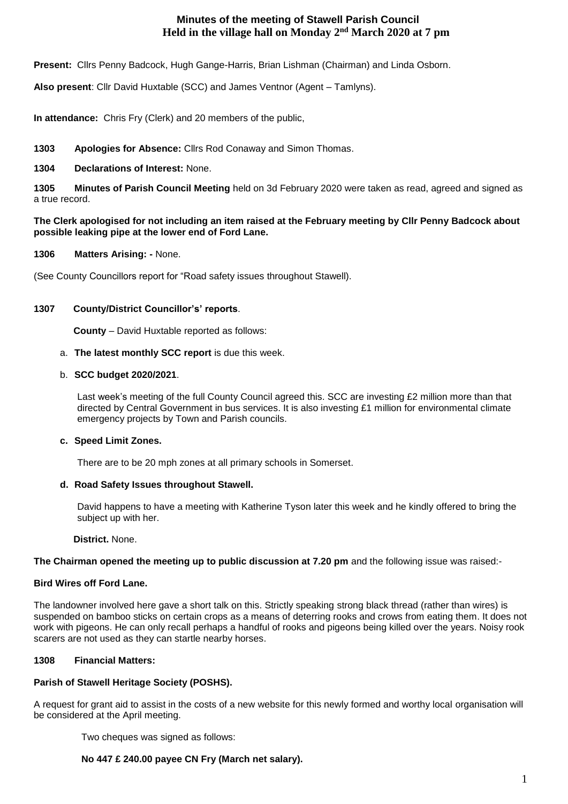# **Minutes of the meeting of Stawell Parish Council Held in the village hall on Monday 2nd March 2020 at 7 pm**

**Present:** Cllrs Penny Badcock, Hugh Gange-Harris, Brian Lishman (Chairman) and Linda Osborn.

**Also present**: Cllr David Huxtable (SCC) and James Ventnor (Agent – Tamlyns).

**In attendance:** Chris Fry (Clerk) and 20 members of the public,

## **1303 Apologies for Absence:** Cllrs Rod Conaway and Simon Thomas.

### **1304 Declarations of Interest:** None.

**1305 Minutes of Parish Council Meeting** held on 3d February 2020 were taken as read, agreed and signed as a true record.

### **The Clerk apologised for not including an item raised at the February meeting by Cllr Penny Badcock about possible leaking pipe at the lower end of Ford Lane.**

**1306 Matters Arising: -** None.

(See County Councillors report for "Road safety issues throughout Stawell).

### **1307 County/District Councillor's' reports**.

**County** – David Huxtable reported as follows:

#### a. **The latest monthly SCC report** is due this week.

#### b. **SCC budget 2020/2021**.

Last week's meeting of the full County Council agreed this. SCC are investing £2 million more than that directed by Central Government in bus services. It is also investing £1 million for environmental climate emergency projects by Town and Parish councils.

### **c. Speed Limit Zones.**

There are to be 20 mph zones at all primary schools in Somerset.

### **d. Road Safety Issues throughout Stawell.**

David happens to have a meeting with Katherine Tyson later this week and he kindly offered to bring the subject up with her.

**District.** None.

### **The Chairman opened the meeting up to public discussion at 7.20 pm** and the following issue was raised:-

### **Bird Wires off Ford Lane.**

The landowner involved here gave a short talk on this. Strictly speaking strong black thread (rather than wires) is suspended on bamboo sticks on certain crops as a means of deterring rooks and crows from eating them. It does not work with pigeons. He can only recall perhaps a handful of rooks and pigeons being killed over the years. Noisy rook scarers are not used as they can startle nearby horses.

### **1308 Financial Matters:**

### **Parish of Stawell Heritage Society (POSHS).**

A request for grant aid to assist in the costs of a new website for this newly formed and worthy local organisation will be considered at the April meeting.

Two cheques was signed as follows:

### **No 447 £ 240.00 payee CN Fry (March net salary).**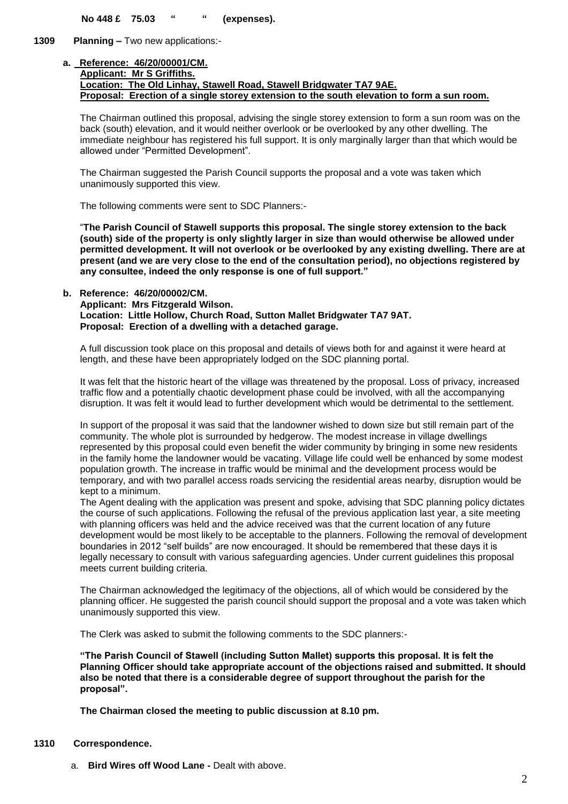**No 448 £ 75.03 " " (expenses).**

**1309 Planning –** Two new applications:-

#### **a. Reference: 46/20/00001/CM. Applicant: Mr S Griffiths. Location: The Old Linhay, Stawell Road, Stawell Bridgwater TA7 9AE. Proposal: Erection of a single storey extension to the south elevation to form a sun room.**

The Chairman outlined this proposal, advising the single storey extension to form a sun room was on the back (south) elevation, and it would neither overlook or be overlooked by any other dwelling. The immediate neighbour has registered his full support. It is only marginally larger than that which would be allowed under "Permitted Development".

The Chairman suggested the Parish Council supports the proposal and a vote was taken which unanimously supported this view.

The following comments were sent to SDC Planners:-

"**The Parish Council of Stawell supports this proposal. The single storey extension to the back (south) side of the property is only slightly larger in size than would otherwise be allowed under permitted development. It will not overlook or be overlooked by any existing dwelling. There are at present (and we are very close to the end of the consultation period), no objections registered by any consultee, indeed the only response is one of full support."**

#### **b. Reference: 46/20/00002/CM. Applicant: Mrs Fitzgerald Wilson. Location: Little Hollow, Church Road, Sutton Mallet Bridgwater TA7 9AT. Proposal: Erection of a dwelling with a detached garage.**

A full discussion took place on this proposal and details of views both for and against it were heard at length, and these have been appropriately lodged on the SDC planning portal.

It was felt that the historic heart of the village was threatened by the proposal. Loss of privacy, increased traffic flow and a potentially chaotic development phase could be involved, with all the accompanying disruption. It was felt it would lead to further development which would be detrimental to the settlement.

In support of the proposal it was said that the landowner wished to down size but still remain part of the community. The whole plot is surrounded by hedgerow. The modest increase in village dwellings represented by this proposal could even benefit the wider community by bringing in some new residents in the family home the landowner would be vacating. Village life could well be enhanced by some modest population growth. The increase in traffic would be minimal and the development process would be temporary, and with two parallel access roads servicing the residential areas nearby, disruption would be kept to a minimum.

The Agent dealing with the application was present and spoke, advising that SDC planning policy dictates the course of such applications. Following the refusal of the previous application last year, a site meeting with planning officers was held and the advice received was that the current location of any future development would be most likely to be acceptable to the planners. Following the removal of development boundaries in 2012 "self builds" are now encouraged. It should be remembered that these days it is legally necessary to consult with various safeguarding agencies. Under current guidelines this proposal meets current building criteria.

The Chairman acknowledged the legitimacy of the objections, all of which would be considered by the planning officer. He suggested the parish council should support the proposal and a vote was taken which unanimously supported this view.

The Clerk was asked to submit the following comments to the SDC planners:-

**"The Parish Council of Stawell (including Sutton Mallet) supports this proposal. It is felt the Planning Officer should take appropriate account of the objections raised and submitted. It should also be noted that there is a considerable degree of support throughout the parish for the proposal".**

**The Chairman closed the meeting to public discussion at 8.10 pm.**

### **1310 Correspondence.**

a. **Bird Wires off Wood Lane -** Dealt with above.